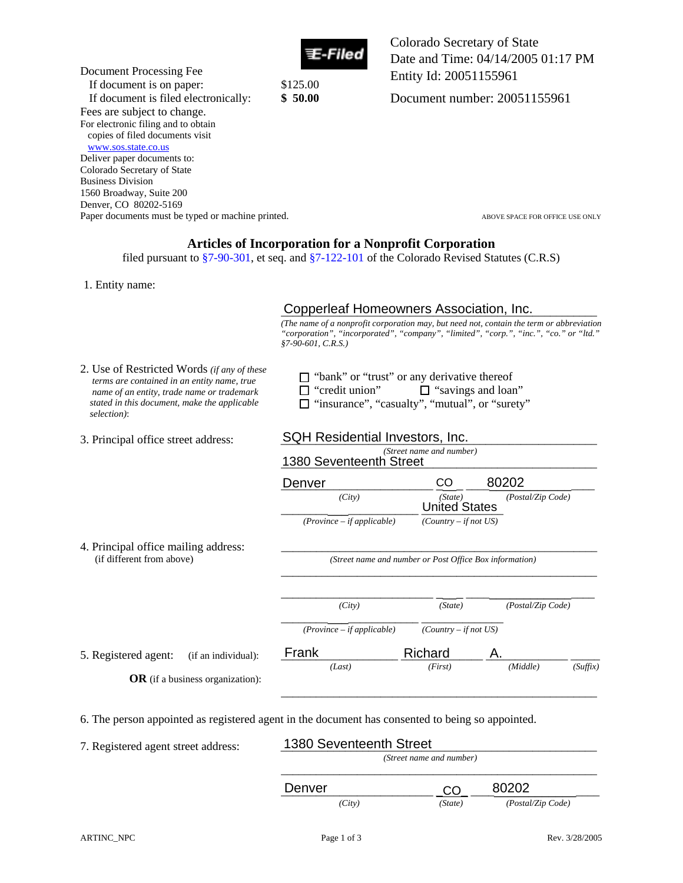

Colorado Secretary of State Date and Time: 04/14/2005 01:17 PM Entity Id: 20051155961

Document number: 20051155961

Document Processing Fee If document is on paper: \$125.00 If document is filed electronically: **\$ 50.00**  Fees are subject to change. For electronic filing and to obtain copies of filed documents visit www.sos.state.co.us Deliver paper documents to: Colorado Secretary of State Business Division 1560 Broadway, Suite 200 Denver, CO 80202-5169 Paper documents must be typed or machine printed. ABOVE SPACE FOR OFFICE USE ONLY

## **Articles of Incorporation for a Nonprofit Corporation**

filed pursuant to §7-90-301, et seq. and §7-122-101 of the Colorado Revised Statutes (C.R.S)

1. Entity name:

# Copperleaf Homeowners Association, Inc.

|                                                                                                                                                                                                                | Copperleaf Homeowners Association, Inc.                                                                                |                                                         |                                                                                                                                                                                   |  |
|----------------------------------------------------------------------------------------------------------------------------------------------------------------------------------------------------------------|------------------------------------------------------------------------------------------------------------------------|---------------------------------------------------------|-----------------------------------------------------------------------------------------------------------------------------------------------------------------------------------|--|
|                                                                                                                                                                                                                | $$7-90-601, C.R.S.)$                                                                                                   |                                                         | (The name of a nonprofit corporation may, but need not, contain the term or abbreviation<br>"corporation", "incorporated", "company", "limited", "corp.", "inc.", "co." or "ltd." |  |
| 2. Use of Restricted Words <i>(if any of these</i><br>terms are contained in an entity name, true<br>name of an entity, trade name or trademark<br>stated in this document, make the applicable<br>selection): | $\Box$ "bank" or "trust" or any derivative thereof<br>"credit union"<br>"insurance", "casualty", "mutual", or "surety" | $\Box$ "savings and loan"                               |                                                                                                                                                                                   |  |
| 3. Principal office street address:                                                                                                                                                                            | SQH Residential Investors, Inc.                                                                                        |                                                         |                                                                                                                                                                                   |  |
|                                                                                                                                                                                                                | 1380 Seventeenth Street                                                                                                | (Street name and number)                                |                                                                                                                                                                                   |  |
|                                                                                                                                                                                                                | Denver                                                                                                                 | CO                                                      | 80202                                                                                                                                                                             |  |
|                                                                                                                                                                                                                | (City)                                                                                                                 | (State)<br><b>United States</b>                         | (Postal/Zip Code)                                                                                                                                                                 |  |
|                                                                                                                                                                                                                | $(Province - if applicable)$                                                                                           | $(Country - if not US)$                                 |                                                                                                                                                                                   |  |
| 4. Principal office mailing address:<br>(if different from above)                                                                                                                                              |                                                                                                                        | (Street name and number or Post Office Box information) |                                                                                                                                                                                   |  |
|                                                                                                                                                                                                                | (City)                                                                                                                 | (State)                                                 | (Postal/Zip Code)                                                                                                                                                                 |  |
|                                                                                                                                                                                                                | $(Province - if applicable)$                                                                                           | $(Country - if not US)$                                 |                                                                                                                                                                                   |  |
| 5. Registered agent:<br>(if an individual):                                                                                                                                                                    | Frank                                                                                                                  | Richard                                                 |                                                                                                                                                                                   |  |
| $OR$ (if a business organization):                                                                                                                                                                             | (Last)                                                                                                                 | (First)                                                 | (Suffix)<br>(Middle)                                                                                                                                                              |  |
| 6. The person appointed as registered agent in the document has consented to being so appointed.                                                                                                               |                                                                                                                        |                                                         |                                                                                                                                                                                   |  |
| 7. Registered agent street address:                                                                                                                                                                            | 1380 Seventeenth Street                                                                                                |                                                         |                                                                                                                                                                                   |  |
|                                                                                                                                                                                                                |                                                                                                                        | (Street name and number)                                |                                                                                                                                                                                   |  |
|                                                                                                                                                                                                                | Denver                                                                                                                 | CO                                                      | 80202                                                                                                                                                                             |  |

| $\pm$ . Thicipal office maining address.<br>(if different from above) |                                         | (Street name and number or Post Office Box information) |                         |                   |          |
|-----------------------------------------------------------------------|-----------------------------------------|---------------------------------------------------------|-------------------------|-------------------|----------|
|                                                                       |                                         | (City)                                                  | (State)                 | (Postal/Zip Code) |          |
|                                                                       |                                         | $(Province - if applicable)$                            | $(Country - if not US)$ |                   |          |
| 5. Registered agent:<br>(if an individual):                           | Frank                                   | Richard                                                 | A.                      |                   |          |
|                                                                       |                                         | (Last)                                                  | (First)                 | (Middle)          | (Suffix) |
|                                                                       | <b>OR</b> (if a business organization): |                                                         |                         |                   |          |

| (Street name and number) |         |                   |  |
|--------------------------|---------|-------------------|--|
| Denver                   |         | 80202             |  |
| (City)                   | (State) | (Postal/Zip Code) |  |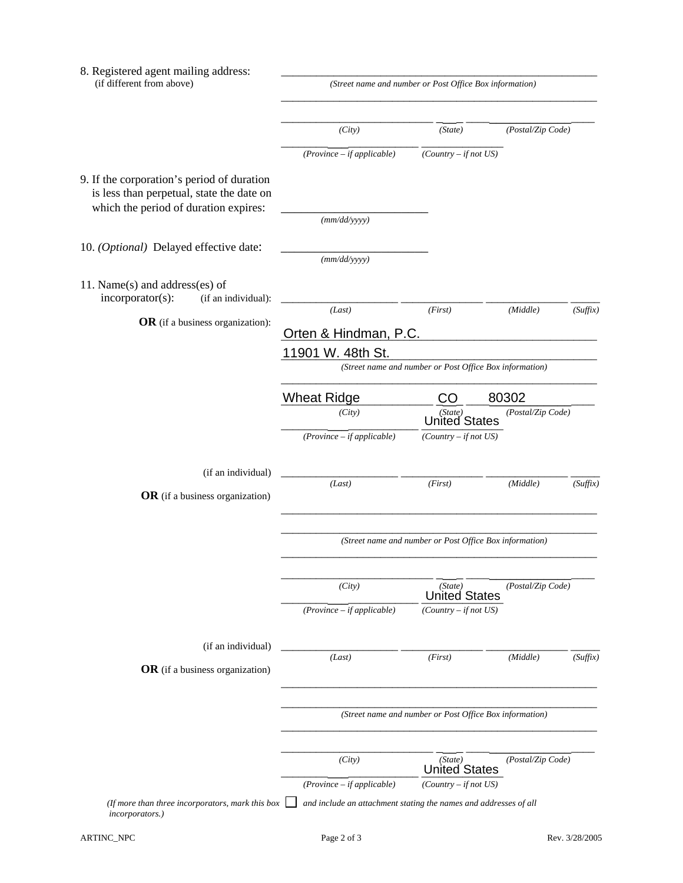| 8. Registered agent mailing address:<br>(if different from above)                                                                | (Street name and number or Post Office Box information)          |                                                         |                   |          |
|----------------------------------------------------------------------------------------------------------------------------------|------------------------------------------------------------------|---------------------------------------------------------|-------------------|----------|
|                                                                                                                                  | (City)                                                           | (State)                                                 | (Postal/Zip Code) |          |
|                                                                                                                                  | $(Province - if applicable)$                                     | $(Country - if not US)$                                 |                   |          |
| 9. If the corporation's period of duration<br>is less than perpetual, state the date on<br>which the period of duration expires: |                                                                  |                                                         |                   |          |
|                                                                                                                                  | (mm/dd/yyyy)                                                     |                                                         |                   |          |
| 10. (Optional) Delayed effective date:                                                                                           | (mm/dd/yyyy)                                                     |                                                         |                   |          |
| 11. Name $(s)$ and address $(es)$ of<br>incorporator(s):<br>(if an individual):                                                  |                                                                  |                                                         |                   |          |
| OR (if a business organization):                                                                                                 | (Last)                                                           | (First)                                                 | (Middle)          | (Suffix) |
|                                                                                                                                  | Orten & Hindman, P.C.                                            |                                                         |                   |          |
|                                                                                                                                  | 11901 W. 48th St.                                                | (Street name and number or Post Office Box information) |                   |          |
|                                                                                                                                  |                                                                  |                                                         |                   |          |
|                                                                                                                                  | <b>Wheat Ridge</b>                                               | CO                                                      | 80302             |          |
|                                                                                                                                  | (City)                                                           | (State)<br><b>United States</b>                         | (Postal/Zip Code) |          |
|                                                                                                                                  | $(Province - if applicable)$                                     | $(Country - if not US)$                                 |                   |          |
| (if an individual)                                                                                                               | (Last)                                                           | (First)                                                 | (Middle)          | (Suffix) |
| OR (if a business organization)                                                                                                  |                                                                  |                                                         |                   |          |
|                                                                                                                                  |                                                                  |                                                         |                   |          |
|                                                                                                                                  |                                                                  | (Street name and number or Post Office Box information) |                   |          |
|                                                                                                                                  |                                                                  |                                                         |                   |          |
|                                                                                                                                  | (City)                                                           | (State)<br><b>United States</b>                         | (Postal/Zip Code) |          |
|                                                                                                                                  | $(Province - if applicable)$                                     | $(Country - if not US)$                                 |                   |          |
| (if an individual)                                                                                                               |                                                                  |                                                         |                   |          |
| OR (if a business organization)                                                                                                  | (Last)                                                           | (First)                                                 | (Middle)          | (Suffix) |
|                                                                                                                                  |                                                                  |                                                         |                   |          |
|                                                                                                                                  |                                                                  | (Street name and number or Post Office Box information) |                   |          |
|                                                                                                                                  | (City)                                                           | (State)<br><b>United States</b>                         | (Postal/Zip Code) |          |
|                                                                                                                                  | $(Province - if applicable)$                                     | $(Country - if not US)$                                 |                   |          |
| (If more than three incorporators, mark this box<br>incorporators.)                                                              | and include an attachment stating the names and addresses of all |                                                         |                   |          |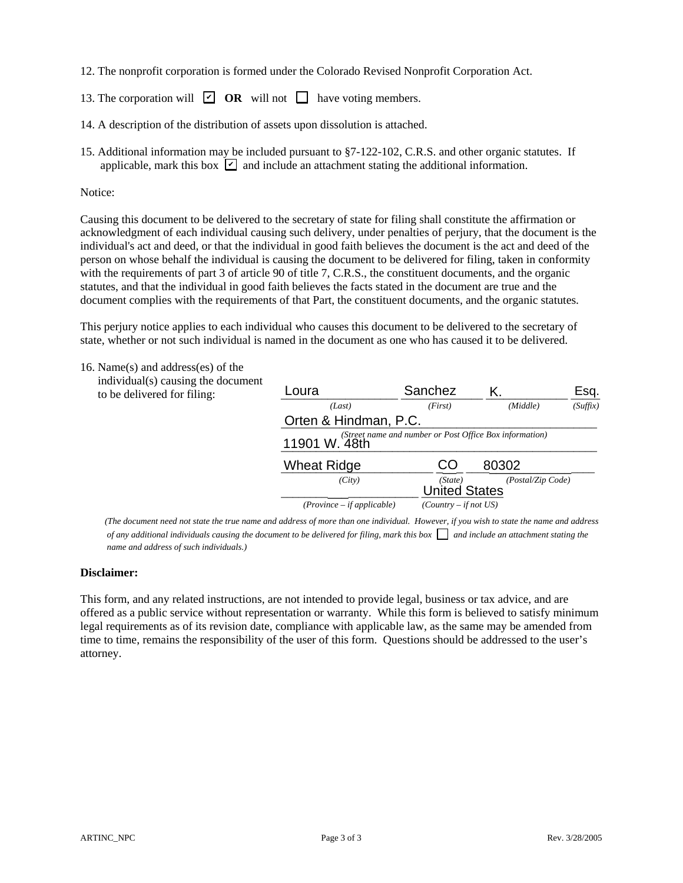- 12. The nonprofit corporation is formed under the Colorado Revised Nonprofit Corporation Act.
- 13. The corporation will  $\boxed{\triangleright}$  **OR** will not  $\boxed{\square}$  have voting members.
- 14. A description of the distribution of assets upon dissolution is attached.
- 15. Additional information may be included pursuant to §7-122-102, C.R.S. and other organic statutes. If applicable, mark this box  $\boxed{\mathbf{z}}$  and include an attachment stating the additional information.

#### Notice:

#### 16. Name(s) and address(es) of the

| 13. The corporation will $\Box$ OR will not $\Box$ have voting members.                                                                                                                                                                                                                                                                                                                                                                                                                                                                                                                                                                                                                                                                                                                                                                                                                                                                                         |                                                          |                                 |                   |          |
|-----------------------------------------------------------------------------------------------------------------------------------------------------------------------------------------------------------------------------------------------------------------------------------------------------------------------------------------------------------------------------------------------------------------------------------------------------------------------------------------------------------------------------------------------------------------------------------------------------------------------------------------------------------------------------------------------------------------------------------------------------------------------------------------------------------------------------------------------------------------------------------------------------------------------------------------------------------------|----------------------------------------------------------|---------------------------------|-------------------|----------|
| 14. A description of the distribution of assets upon dissolution is attached.                                                                                                                                                                                                                                                                                                                                                                                                                                                                                                                                                                                                                                                                                                                                                                                                                                                                                   |                                                          |                                 |                   |          |
| 15. Additional information may be included pursuant to §7-122-102, C.R.S. and other organic statutes. If<br>applicable, mark this box $\boxed{\triangleright}$ and include an attachment stating the additional information.                                                                                                                                                                                                                                                                                                                                                                                                                                                                                                                                                                                                                                                                                                                                    |                                                          |                                 |                   |          |
| Notice:                                                                                                                                                                                                                                                                                                                                                                                                                                                                                                                                                                                                                                                                                                                                                                                                                                                                                                                                                         |                                                          |                                 |                   |          |
| acknowledgment of each individual causing such delivery, under penalties of perjury, that the document is the<br>individual's act and deed, or that the individual in good faith believes the document is the act and deed of the<br>person on whose behalf the individual is causing the document to be delivered for filing, taken in conformity<br>with the requirements of part 3 of article 90 of title 7, C.R.S., the constituent documents, and the organic<br>statutes, and that the individual in good faith believes the facts stated in the document are true and the<br>document complies with the requirements of that Part, the constituent documents, and the organic statutes.<br>This perjury notice applies to each individual who causes this document to be delivered to the secretary of<br>state, whether or not such individual is named in the document as one who has caused it to be delivered.<br>16. Name(s) and address(es) of the |                                                          |                                 |                   |          |
| individual(s) causing the document                                                                                                                                                                                                                                                                                                                                                                                                                                                                                                                                                                                                                                                                                                                                                                                                                                                                                                                              | Loura                                                    | Sanchez                         | Κ.                | Esq.     |
| to be delivered for filing:                                                                                                                                                                                                                                                                                                                                                                                                                                                                                                                                                                                                                                                                                                                                                                                                                                                                                                                                     | (Last)                                                   | (First)                         | (Middle)          | (Suffix) |
|                                                                                                                                                                                                                                                                                                                                                                                                                                                                                                                                                                                                                                                                                                                                                                                                                                                                                                                                                                 | Orten & Hindman, P.C.                                    |                                 |                   |          |
|                                                                                                                                                                                                                                                                                                                                                                                                                                                                                                                                                                                                                                                                                                                                                                                                                                                                                                                                                                 | 11901 W. 48th and number or Post Office Box information) |                                 |                   |          |
|                                                                                                                                                                                                                                                                                                                                                                                                                                                                                                                                                                                                                                                                                                                                                                                                                                                                                                                                                                 |                                                          |                                 |                   |          |
|                                                                                                                                                                                                                                                                                                                                                                                                                                                                                                                                                                                                                                                                                                                                                                                                                                                                                                                                                                 | <b>Wheat Ridge</b>                                       | CO                              | 80302             |          |
|                                                                                                                                                                                                                                                                                                                                                                                                                                                                                                                                                                                                                                                                                                                                                                                                                                                                                                                                                                 | (City)                                                   | (State)<br><b>United States</b> | (Postal/Zip Code) |          |
|                                                                                                                                                                                                                                                                                                                                                                                                                                                                                                                                                                                                                                                                                                                                                                                                                                                                                                                                                                 | $(Province - if applicable)$                             | $(Country - if not US)$         |                   |          |

 *(The document need not state the true name and address of more than one individual. However, if you wish to state the name and address of any additional individuals causing the document to be delivered for filing, mark this box*  $\Box$  *and include an attachment stating the name and address of such individuals.)*

#### **Disclaimer:**

This form, and any related instructions, are not intended to provide legal, business or tax advice, and are offered as a public service without representation or warranty. While this form is believed to satisfy minimum legal requirements as of its revision date, compliance with applicable law, as the same may be amended from time to time, remains the responsibility of the user of this form. Questions should be addressed to the user's attorney.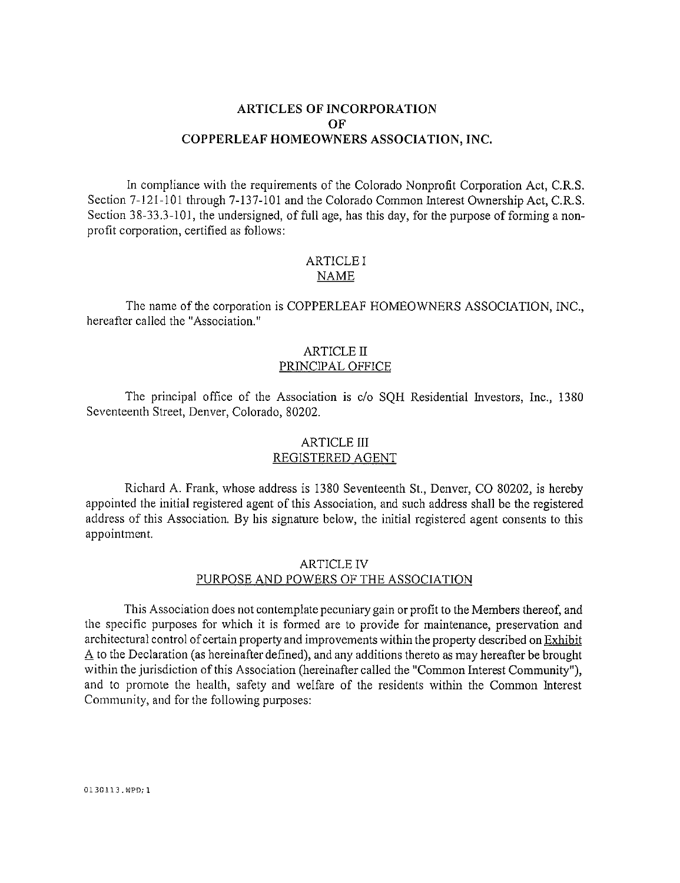# **ARTICLES OF INCORPORATION** ОF COPPERLEAF HOMEOWNERS ASSOCIATION, INC.

In compliance with the requirements of the Colorado Nonprofit Corporation Act, C.R.S. Section 7-121-101 through 7-137-101 and the Colorado Common Interest Ownership Act, C.R.S. Section 38-33.3-101, the undersigned, of full age, has this day, for the purpose of forming a nonprofit corporation, certified as follows:

#### **ARTICLE I NAME**

The name of the corporation is COPPERLEAF HOMEOWNERS ASSOCIATION, INC., hereafter called the "Association."

#### ARTICLE II PRINCIPAL OFFICE

The principal office of the Association is c/o SQH Residential Investors, Inc., 1380 Seventeenth Street, Denver, Colorado, 80202.

# **ARTICLE III** REGISTERED AGENT

Richard A. Frank, whose address is 1380 Seventeenth St., Denver, CO 80202, is hereby appointed the initial registered agent of this Association, and such address shall be the registered address of this Association. By his signature below, the initial registered agent consents to this appointment.

# **ARTICLE IV** PURPOSE AND POWERS OF THE ASSOCIATION

This Association does not contemplate pecuniary gain or profit to the Members thereof, and the specific purposes for which it is formed are to provide for maintenance, preservation and architectural control of certain property and improvements within the property described on Exhibit  $\Delta$  to the Declaration (as hereinafter defined), and any additions thereto as may hereafter be brought within the jurisdiction of this Association (hereinafter called the "Common Interest Community"), and to promote the health, safety and welfare of the residents within the Common Interest Community, and for the following purposes:

0130113.WPD;1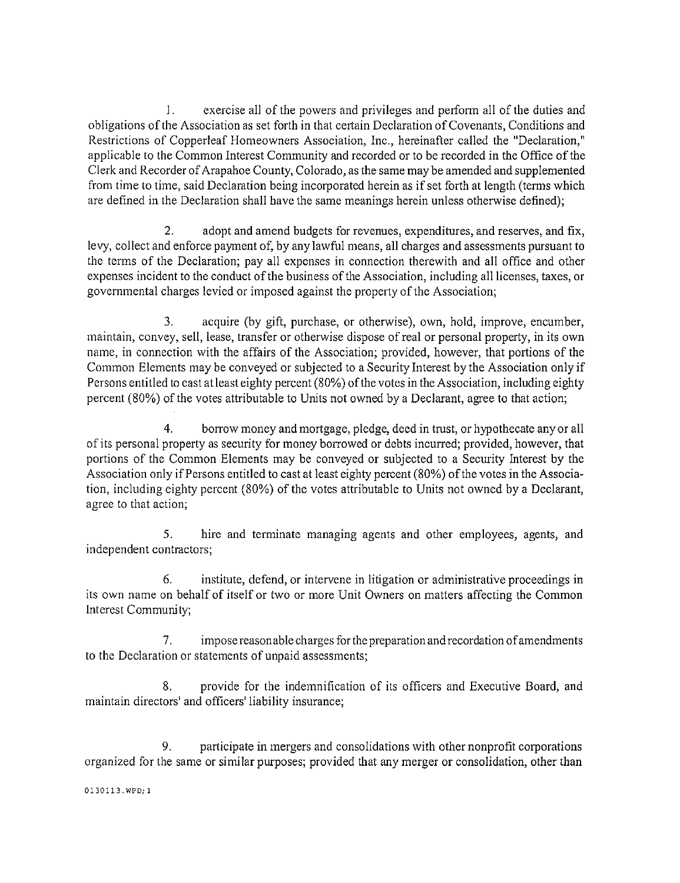exercise all of the powers and privileges and perform all of the duties and  $1_{-}$ obligations of the Association as set forth in that certain Declaration of Covenants, Conditions and Restrictions of Copperleaf Homeowners Association, Inc., hereinafter called the "Declaration," applicable to the Common Interest Community and recorded or to be recorded in the Office of the Clerk and Recorder of Arapahoe County, Colorado, as the same may be amended and supplemented from time to time, said Declaration being incorporated herein as if set forth at length (terms which are defined in the Declaration shall have the same meanings herein unless otherwise defined);

adopt and amend budgets for revenues, expenditures, and reserves, and fix,  $2<sub>1</sub>$ levy, collect and enforce payment of, by any lawful means, all charges and assessments pursuant to the terms of the Declaration; pay all expenses in connection therewith and all office and other expenses incident to the conduct of the business of the Association, including all licenses, taxes, or governmental charges levied or imposed against the property of the Association;

acquire (by gift, purchase, or otherwise), own, hold, improve, encumber, 3. maintain, convey, sell, lease, transfer or otherwise dispose of real or personal property, in its own name, in connection with the affairs of the Association; provided, however, that portions of the Common Elements may be conveyed or subjected to a Security Interest by the Association only if Persons entitled to cast at least eighty percent (80%) of the votes in the Association, including eighty percent (80%) of the votes attributable to Units not owned by a Declarant, agree to that action;

 $4<sup>1</sup>$ borrow money and mortgage, pledge, deed in trust, or hypothecate any or all of its personal property as security for money borrowed or debts incurred; provided, however, that portions of the Common Elements may be conveyed or subjected to a Security Interest by the Association only if Persons entitled to cast at least eighty percent (80%) of the votes in the Association, including eighty percent (80%) of the votes attributable to Units not owned by a Declarant, agree to that action;

hire and terminate managing agents and other employees, agents, and 5. independent contractors;

6. institute, defend, or intervene in litigation or administrative proceedings in its own name on behalf of itself or two or more Unit Owners on matters affecting the Common Interest Community;

 $7<sub>1</sub>$ impose reasonable charges for the preparation and recordation of amendments to the Declaration or statements of unpaid assessments;

provide for the indemnification of its officers and Executive Board, and 8. maintain directors' and officers' liability insurance;

9. participate in mergers and consolidations with other nonprofit corporations organized for the same or similar purposes; provided that any merger or consolidation, other than

0130113.WPD;1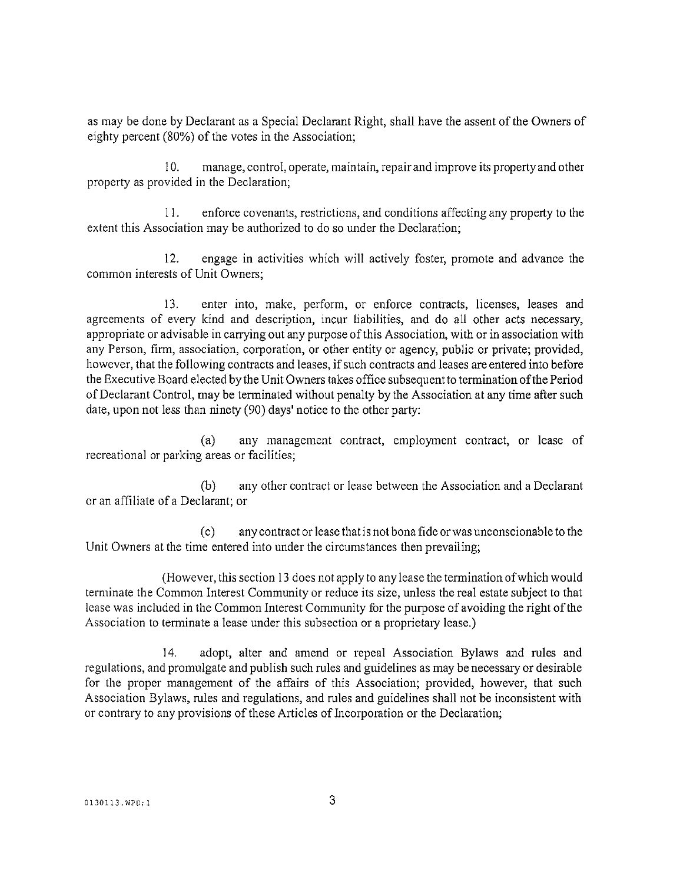as may be done by Declarant as a Special Declarant Right, shall have the assent of the Owners of eighty percent (80%) of the votes in the Association;

 $10.$ manage, control, operate, maintain, repair and improve its property and other property as provided in the Declaration;

 $11<sub>1</sub>$ enforce covenants, restrictions, and conditions affecting any property to the extent this Association may be authorized to do so under the Declaration;

 $12.$ engage in activities which will actively foster, promote and advance the common interests of Unit Owners:

 $13.$ enter into, make, perform, or enforce contracts, licenses, leases and agreements of every kind and description, incur liabilities, and do all other acts necessary, appropriate or advisable in carrying out any purpose of this Association, with or in association with any Person, firm, association, corporation, or other entity or agency, public or private; provided, however, that the following contracts and leases, if such contracts and leases are entered into before the Executive Board elected by the Unit Owners takes office subsequent to termination of the Period of Declarant Control, may be terminated without penalty by the Association at any time after such date, upon not less than ninety (90) days' notice to the other party:

 $(a)$ any management contract, employment contract, or lease of recreational or parking areas or facilities;

any other contract or lease between the Association and a Declarant  $(b)$ or an affiliate of a Declarant: or

any contract or lease that is not bona fide or was unconscionable to the  $(c)$ Unit Owners at the time entered into under the circumstances then prevailing;

(However, this section 13 does not apply to any lease the termination of which would terminate the Common Interest Community or reduce its size, unless the real estate subject to that lease was included in the Common Interest Community for the purpose of avoiding the right of the Association to terminate a lease under this subsection or a proprietary lease.)

 $14.$ adopt, alter and amend or repeal Association Bylaws and rules and regulations, and promulgate and publish such rules and guidelines as may be necessary or desirable for the proper management of the affairs of this Association; provided, however, that such Association Bylaws, rules and regulations, and rules and guidelines shall not be inconsistent with or contrary to any provisions of these Articles of Incorporation or the Declaration;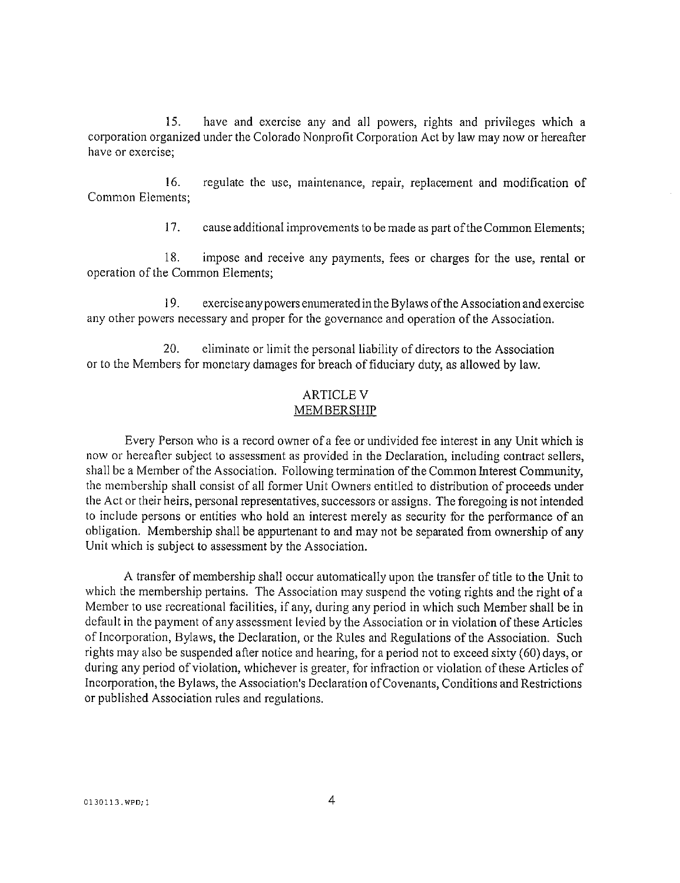15. have and exercise any and all powers, rights and privileges which a corporation organized under the Colorado Nonprofit Corporation Act by law may now or hereafter have or exercise:

 $16.$ regulate the use, maintenance, repair, replacement and modification of Common Elements:

> $17.$ cause additional improvements to be made as part of the Common Elements;

18. impose and receive any payments, fees or charges for the use, rental or operation of the Common Elements;

19. exercise any powers enumerated in the Bylaws of the Association and exercise any other powers necessary and proper for the governance and operation of the Association.

20. eliminate or limit the personal liability of directors to the Association or to the Members for monetary damages for breach of fiduciary duty, as allowed by law.

## **ARTICLE V MEMBERSHIP**

Every Person who is a record owner of a fee or undivided fee interest in any Unit which is now or hereafter subject to assessment as provided in the Declaration, including contract sellers, shall be a Member of the Association. Following termination of the Common Interest Community, the membership shall consist of all former Unit Owners entitled to distribution of proceeds under the Act or their heirs, personal representatives, successors or assigns. The foregoing is not intended to include persons or entities who hold an interest merely as security for the performance of an obligation. Membership shall be appurtenant to and may not be separated from ownership of any Unit which is subject to assessment by the Association.

A transfer of membership shall occur automatically upon the transfer of title to the Unit to which the membership pertains. The Association may suspend the voting rights and the right of a Member to use recreational facilities, if any, during any period in which such Member shall be in default in the payment of any assessment levied by the Association or in violation of these Articles of Incorporation, Bylaws, the Declaration, or the Rules and Regulations of the Association. Such rights may also be suspended after notice and hearing, for a period not to exceed sixty (60) days, or during any period of violation, whichever is greater, for infraction or violation of these Articles of Incorporation, the Bylaws, the Association's Declaration of Covenants, Conditions and Restrictions or published Association rules and regulations.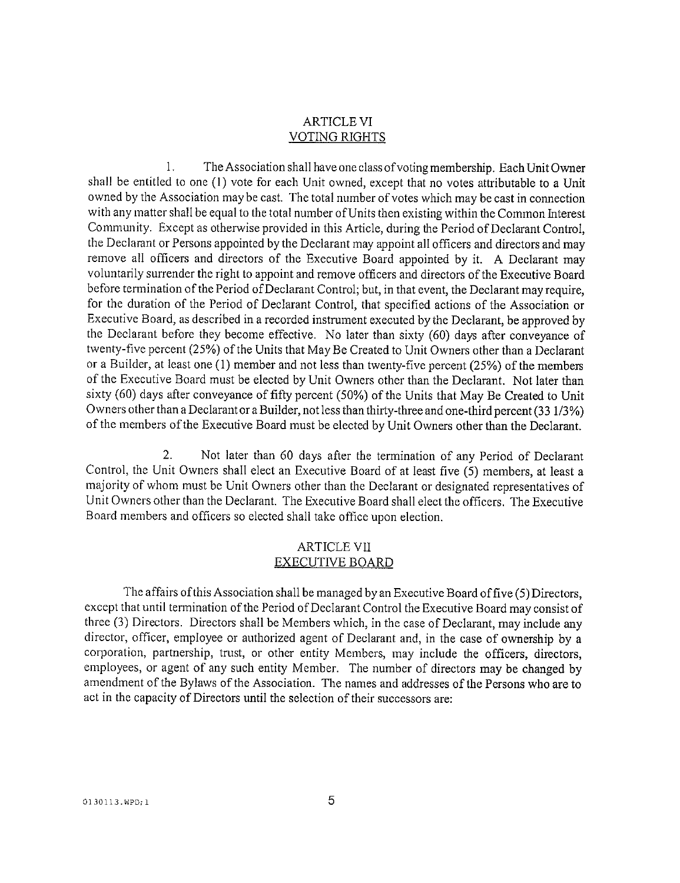# **ARTICLE VI VOTING RIGHTS**

 $1.$ The Association shall have one class of voting membership. Each Unit Owner shall be entitled to one (1) vote for each Unit owned, except that no votes attributable to a Unit owned by the Association may be cast. The total number of votes which may be cast in connection with any matter shall be equal to the total number of Units then existing within the Common Interest Community. Except as otherwise provided in this Article, during the Period of Declarant Control. the Declarant or Persons appointed by the Declarant may appoint all officers and directors and may remove all officers and directors of the Executive Board appointed by it. A Declarant may voluntarily surrender the right to appoint and remove officers and directors of the Executive Board before termination of the Period of Declarant Control; but, in that event, the Declarant may require, for the duration of the Period of Declarant Control, that specified actions of the Association or Executive Board, as described in a recorded instrument executed by the Declarant, be approved by the Declarant before they become effective. No later than sixty (60) days after conveyance of twenty-five percent (25%) of the Units that May Be Created to Unit Owners other than a Declarant or a Builder, at least one (1) member and not less than twenty-five percent (25%) of the members of the Executive Board must be elected by Unit Owners other than the Declarant. Not later than sixty (60) days after conveyance of fifty percent (50%) of the Units that May Be Created to Unit Owners other than a Declarant or a Builder, not less than thirty-three and one-third percent (33 1/3%) of the members of the Executive Board must be elected by Unit Owners other than the Declarant.

2. Not later than 60 days after the termination of any Period of Declarant Control, the Unit Owners shall elect an Executive Board of at least five (5) members, at least a majority of whom must be Unit Owners other than the Declarant or designated representatives of Unit Owners other than the Declarant. The Executive Board shall elect the officers. The Executive Board members and officers so elected shall take office upon election.

#### **ARTICLE VII EXECUTIVE BOARD**

The affairs of this Association shall be managed by an Executive Board of five (5) Directors, except that until termination of the Period of Declarant Control the Executive Board may consist of three (3) Directors. Directors shall be Members which, in the case of Declarant, may include any director, officer, employee or authorized agent of Declarant and, in the case of ownership by a corporation, partnership, trust, or other entity Members, may include the officers, directors, employees, or agent of any such entity Member. The number of directors may be changed by amendment of the Bylaws of the Association. The names and addresses of the Persons who are to act in the capacity of Directors until the selection of their successors are: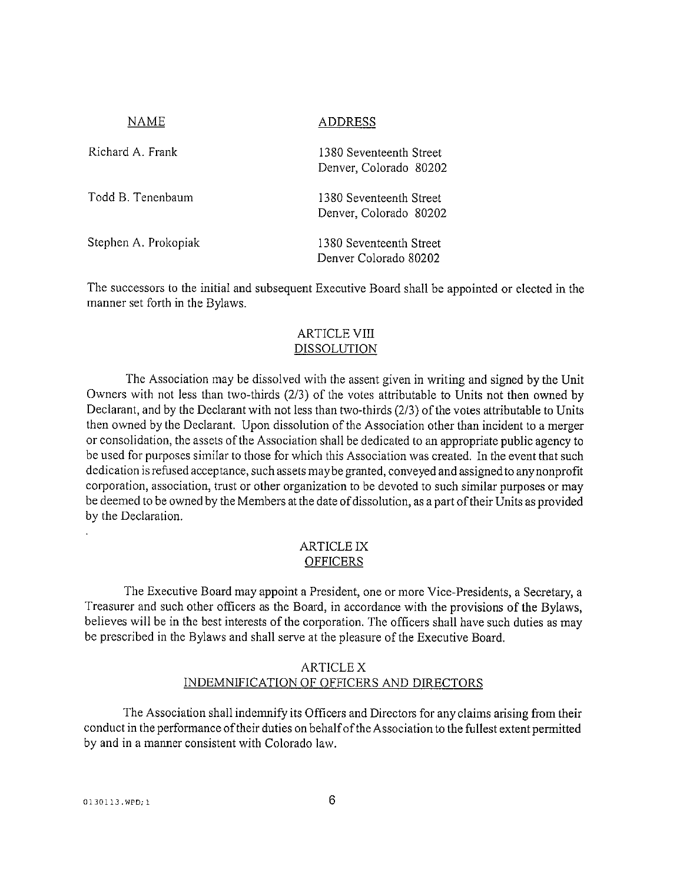| NAME                 | <b>ADDRESS</b>                                    |
|----------------------|---------------------------------------------------|
| Richard A. Frank     | 1380 Seventeenth Street<br>Denver, Colorado 80202 |
| Todd B. Tenenbaum    | 1380 Seventeenth Street<br>Denver, Colorado 80202 |
| Stephen A. Prokopiak | 1380 Seventeenth Street<br>Denver Colorado 80202  |

The successors to the initial and subsequent Executive Board shall be appointed or elected in the manner set forth in the Bylaws.

# **ARTICLE VIII DISSOLUTION**

The Association may be dissolved with the assent given in writing and signed by the Unit Owners with not less than two-thirds (2/3) of the votes attributable to Units not then owned by Declarant, and by the Declarant with not less than two-thirds (2/3) of the votes attributable to Units then owned by the Declarant. Upon dissolution of the Association other than incident to a merger or consolidation, the assets of the Association shall be dedicated to an appropriate public agency to be used for purposes similar to those for which this Association was created. In the event that such dedication is refused acceptance, such assets may be granted, conveyed and assigned to any nonprofit corporation, association, trust or other organization to be devoted to such similar purposes or may be deemed to be owned by the Members at the date of dissolution, as a part of their Units as provided by the Declaration.

#### ARTICLE IX **OFFICERS**

The Executive Board may appoint a President, one or more Vice-Presidents, a Secretary, a Treasurer and such other officers as the Board, in accordance with the provisions of the Bylaws, believes will be in the best interests of the corporation. The officers shall have such duties as may be prescribed in the Bylaws and shall serve at the pleasure of the Executive Board.

# ARTICLE X INDEMNIFICATION OF OFFICERS AND DIRECTORS

The Association shall indemnify its Officers and Directors for any claims arising from their conduct in the performance of their duties on behalf of the Association to the fullest extent permitted by and in a manner consistent with Colorado law.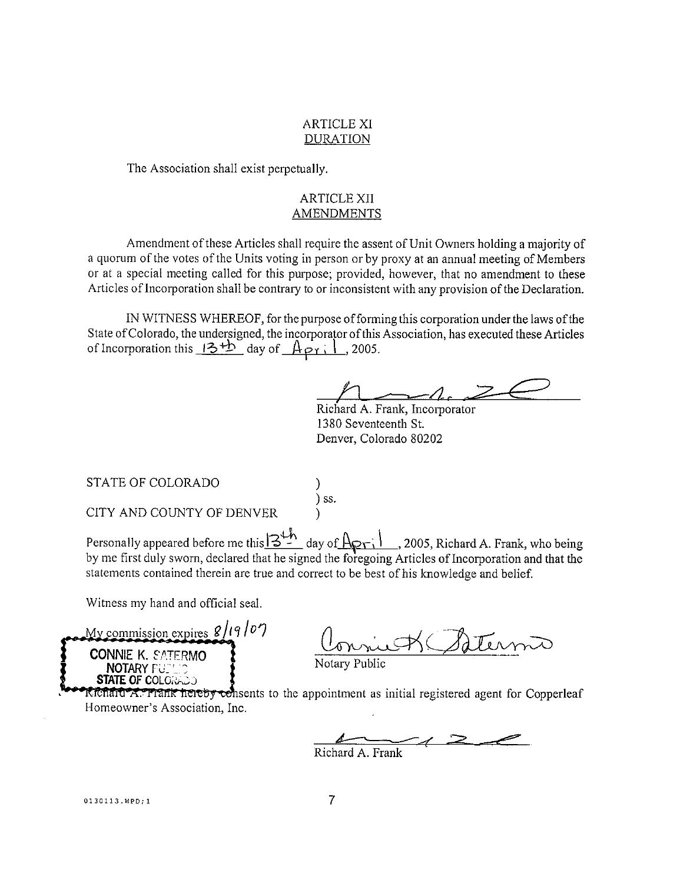#### **ARTICLE XI DURATION**

The Association shall exist perpetually.

# **ARTICLE XII AMENDMENTS**

Amendment of these Articles shall require the assent of Unit Owners holding a majority of a quorum of the votes of the Units voting in person or by proxy at an annual meeting of Members or at a special meeting called for this purpose; provided, however, that no amendment to these Articles of Incorporation shall be contrary to or inconsistent with any provision of the Declaration.

IN WITNESS WHEREOF, for the purpose of forming this corporation under the laws of the State of Colorado, the undersigned, the incorporator of this Association, has executed these Articles of Incorporation this  $13 + b$  day of  $A_{\text{PT}}$ , 1, 2005.

Richard A. Frank, Incorporator 1380 Seventeenth St. Denver, Colorado 80202

STATE OF COLORADO

 $)$  ss.

CITY AND COUNTY OF DENVER

Personally appeared before me this  $3^{+h}$  day of  $A_{\sqrt{1}}$ , 2005, Richard A. Frank, who being by me first duly sworn, declared that he signed the foregoing Articles of Incorporation and that the statements contained therein are true and correct to be best of his knowledge and belief.

Witness my hand and official seal.

My commission expires  $8/19/07$ **CONNIE K. SATERMO NOTARY FULL STATE OF COLORADO** 

riet Satermo

Richard A. Frank hereby consents to the appointment as initial registered agent for Copperleaf Homeowner's Association, Inc.

Richard A. Frank

0130113.WPD;1